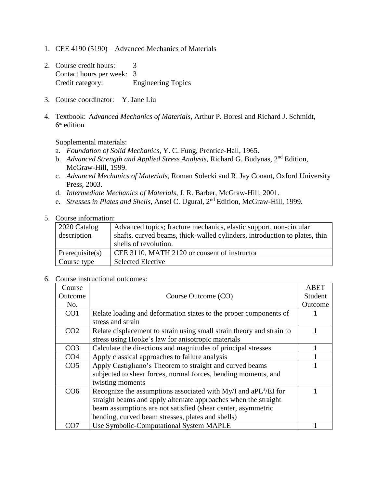- 1. CEE 4190 (5190) Advanced Mechanics of Materials
- 2. Course credit hours: 3 Contact hours per week: 3 Credit category: Engineering Topics
- 3. Course coordinator: Y. Jane Liu
- 4. Textbook: A*dvanced Mechanics of Materials,* Arthur P. Boresi and Richard J. Schmidt, 6 th edition

Supplemental materials:

- a. *Foundation of Solid Mechanics*, Y. C. Fung, Prentice-Hall, 1965.
- b. *Advanced Strength and Applied Stress Analysis*, Richard G. Budynas, 2nd Edition, McGraw-Hill, 1999.
- c. *Advanced Mechanics of Materials*, Roman Solecki and R. Jay Conant, Oxford University Press, 2003.
- d. *Intermediate Mechanics of Materials*, J. R. Barber, McGraw-Hill, 2001.
- e. Stresses in Plates and Shells, Ansel C. Ugural, 2<sup>nd</sup> Edition, McGraw-Hill, 1999.

## 5. Course information:

| 2020 Catalog       | Advanced topics; fracture mechanics, elastic support, non-circular         |
|--------------------|----------------------------------------------------------------------------|
| description        | shafts, curved beams, thick-walled cylinders, introduction to plates, thin |
|                    | shells of revolution.                                                      |
| Prerequisite $(s)$ | CEE 3110, MATH 2120 or consent of instructor                               |
| Course type        | <b>Selected Elective</b>                                                   |

6. Course instructional outcomes:

| Course          |                                                                             | <b>ABET</b> |
|-----------------|-----------------------------------------------------------------------------|-------------|
| Outcome         | Course Outcome (CO)                                                         | Student     |
| No.             |                                                                             | Outcome     |
| CO <sub>1</sub> | Relate loading and deformation states to the proper components of           |             |
|                 | stress and strain                                                           |             |
| CO <sub>2</sub> | Relate displacement to strain using small strain theory and strain to       |             |
|                 | stress using Hooke's law for anisotropic materials                          |             |
| CO <sub>3</sub> | Calculate the directions and magnitudes of principal stresses               |             |
| CO <sub>4</sub> | Apply classical approaches to failure analysis                              |             |
| CO <sub>5</sub> | Apply Castigliano's Theorem to straight and curved beams                    |             |
|                 | subjected to shear forces, normal forces, bending moments, and              |             |
|                 | twisting moments                                                            |             |
| CO <sub>6</sub> | Recognize the assumptions associated with My/I and aPL <sup>3</sup> /EI for |             |
|                 | straight beams and apply alternate approaches when the straight             |             |
|                 | beam assumptions are not satisfied (shear center, asymmetric                |             |
|                 | bending, curved beam stresses, plates and shells)                           |             |
| CO7             | Use Symbolic-Computational System MAPLE                                     |             |